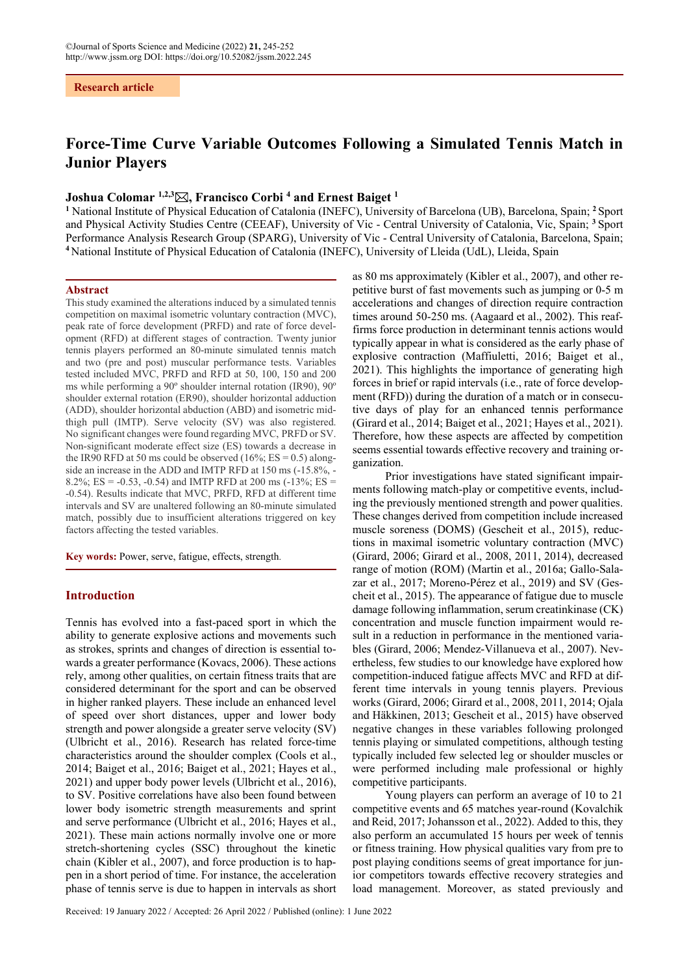**Research article**

# **Force-Time Curve Variable Outcomes Following a Simulated Tennis Match in Junior Players**

# **Joshua Colomar 1,2,3, Francisco Corbi 4 and Ernest Baiget 1**

**1** National Institute of Physical Education of Catalonia (INEFC), University of Barcelona (UB), Barcelona, Spain; **<sup>2</sup>** Sport and Physical Activity Studies Centre (CEEAF), University of Vic - Central University of Catalonia, Vic, Spain; **<sup>3</sup>** Sport Performance Analysis Research Group (SPARG), University of Vic - Central University of Catalonia, Barcelona, Spain; **<sup>4</sup>** National Institute of Physical Education of Catalonia (INEFC), University of Lleida (UdL), Lleida, Spain

#### **Abstract**

This study examined the alterations induced by a simulated tennis competition on maximal isometric voluntary contraction (MVC), peak rate of force development (PRFD) and rate of force development (RFD) at different stages of contraction. Twenty junior tennis players performed an 80-minute simulated tennis match and two (pre and post) muscular performance tests. Variables tested included MVC, PRFD and RFD at 50, 100, 150 and 200 ms while performing a 90º shoulder internal rotation (IR90), 90º shoulder external rotation (ER90), shoulder horizontal adduction (ADD), shoulder horizontal abduction (ABD) and isometric midthigh pull (IMTP). Serve velocity (SV) was also registered. No significant changes were found regarding MVC, PRFD or SV. Non-significant moderate effect size (ES) towards a decrease in the IR90 RFD at 50 ms could be observed  $(16\%; ES = 0.5)$  alongside an increase in the ADD and IMTP RFD at 150 ms (-15.8%, - 8.2%; ES = -0.53, -0.54) and IMTP RFD at 200 ms  $(-13\%; ES =$ -0.54). Results indicate that MVC, PRFD, RFD at different time intervals and SV are unaltered following an 80-minute simulated match, possibly due to insufficient alterations triggered on key factors affecting the tested variables.

**Key words:** Power, serve, fatigue, effects, strength.

# **Introduction**

Tennis has evolved into a fast-paced sport in which the ability to generate explosive actions and movements such as strokes, sprints and changes of direction is essential towards a greater performance (Kovacs, 2006). These actions rely, among other qualities, on certain fitness traits that are considered determinant for the sport and can be observed in higher ranked players. These include an enhanced level of speed over short distances, upper and lower body strength and power alongside a greater serve velocity (SV) (Ulbricht et al., 2016). Research has related force-time characteristics around the shoulder complex (Cools et al., 2014; Baiget et al., 2016; Baiget et al., 2021; Hayes et al., 2021) and upper body power levels (Ulbricht et al., 2016), to SV. Positive correlations have also been found between lower body isometric strength measurements and sprint and serve performance (Ulbricht et al., 2016; Hayes et al., 2021). These main actions normally involve one or more stretch-shortening cycles (SSC) throughout the kinetic chain (Kibler et al., 2007), and force production is to happen in a short period of time. For instance, the acceleration phase of tennis serve is due to happen in intervals as short as 80 ms approximately (Kibler et al., 2007), and other repetitive burst of fast movements such as jumping or 0-5 m accelerations and changes of direction require contraction times around 50-250 ms. (Aagaard et al., 2002). This reaffirms force production in determinant tennis actions would typically appear in what is considered as the early phase of explosive contraction (Maffiuletti, 2016; Baiget et al., 2021). This highlights the importance of generating high forces in brief or rapid intervals (i.e., rate of force development (RFD)) during the duration of a match or in consecutive days of play for an enhanced tennis performance (Girard et al., 2014; Baiget et al., 2021; Hayes et al., 2021). Therefore, how these aspects are affected by competition seems essential towards effective recovery and training organization.

Prior investigations have stated significant impairments following match-play or competitive events, including the previously mentioned strength and power qualities. These changes derived from competition include increased muscle soreness (DOMS) (Gescheit et al., 2015), reductions in maximal isometric voluntary contraction (MVC) (Girard, 2006; Girard et al., 2008, 2011, 2014), decreased range of motion (ROM) (Martin et al., 2016a; Gallo-Salazar et al., 2017; Moreno-Pérez et al., 2019) and SV (Gescheit et al., 2015). The appearance of fatigue due to muscle damage following inflammation, serum creatinkinase (CK) concentration and muscle function impairment would result in a reduction in performance in the mentioned variables (Girard, 2006; Mendez-Villanueva et al., 2007). Nevertheless, few studies to our knowledge have explored how competition-induced fatigue affects MVC and RFD at different time intervals in young tennis players. Previous works (Girard, 2006; Girard et al., 2008, 2011, 2014; Ojala and Häkkinen, 2013; Gescheit et al., 2015) have observed negative changes in these variables following prolonged tennis playing or simulated competitions, although testing typically included few selected leg or shoulder muscles or were performed including male professional or highly competitive participants.

Young players can perform an average of 10 to 21 competitive events and 65 matches year-round (Kovalchik and Reid, 2017; Johansson et al., 2022). Added to this, they also perform an accumulated 15 hours per week of tennis or fitness training. How physical qualities vary from pre to post playing conditions seems of great importance for junior competitors towards effective recovery strategies and load management. Moreover, as stated previously and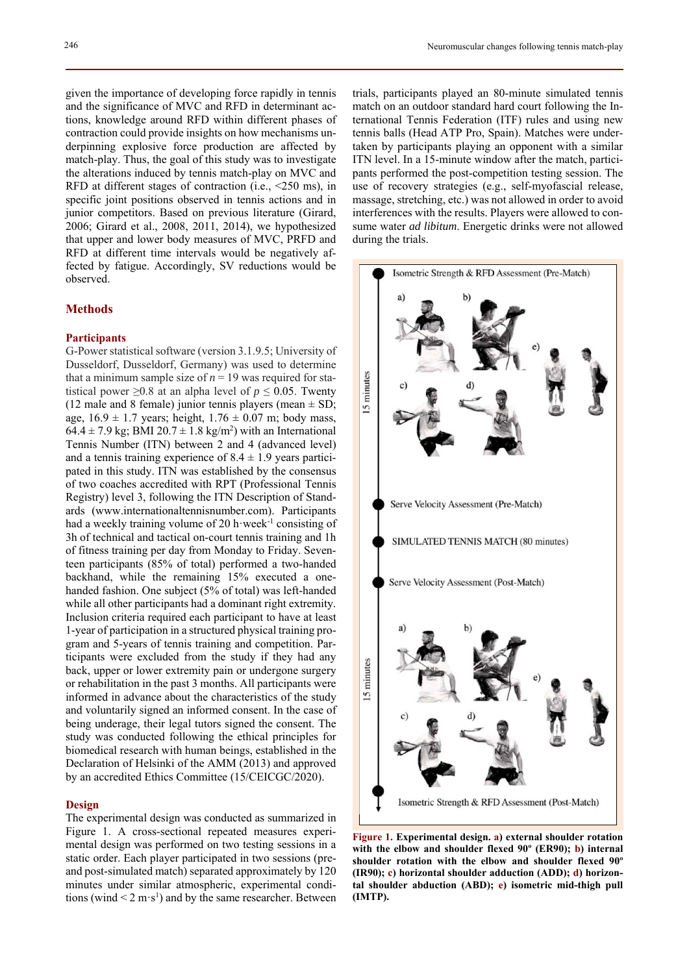given the importance of developing force rapidly in tennis and the significance of MVC and RFD in determinant actions, knowledge around RFD within different phases of contraction could provide insights on how mechanisms underpinning explosive force production are affected by match-play. Thus, the goal of this study was to investigate the alterations induced by tennis match-play on MVC and RFD at different stages of contraction (i.e., <250 ms), in specific joint positions observed in tennis actions and in junior competitors. Based on previous literature (Girard, 2006; Girard et al., 2008, 2011, 2014), we hypothesized that upper and lower body measures of MVC, PRFD and RFD at different time intervals would be negatively affected by fatigue. Accordingly, SV reductions would be observed.

# **Methods**

# **Participants**

G-Power statistical software (version 3.1.9.5; University of Dusseldorf, Dusseldorf, Germany) was used to determine that a minimum sample size of  $n = 19$  was required for statistical power  $\geq 0.8$  at an alpha level of  $p \leq 0.05$ . Twenty (12 male and 8 female) junior tennis players (mean  $\pm$  SD; age,  $16.9 \pm 1.7$  years; height,  $1.76 \pm 0.07$  m; body mass,  $64.4 \pm 7.9$  kg; BMI  $20.7 \pm 1.8$  kg/m<sup>2</sup>) with an International Tennis Number (ITN) between 2 and 4 (advanced level) and a tennis training experience of  $8.4 \pm 1.9$  years participated in this study. ITN was established by the consensus of two coaches accredited with RPT (Professional Tennis Registry) level 3, following the ITN Description of Standards (www.internationaltennisnumber.com). Participants had a weekly training volume of 20 h $\cdot$ week<sup>-1</sup> consisting of 3h of technical and tactical on-court tennis training and 1h of fitness training per day from Monday to Friday. Seventeen participants (85% of total) performed a two-handed backhand, while the remaining 15% executed a onehanded fashion. One subject (5% of total) was left-handed while all other participants had a dominant right extremity. Inclusion criteria required each participant to have at least 1-year of participation in a structured physical training program and 5-years of tennis training and competition. Participants were excluded from the study if they had any back, upper or lower extremity pain or undergone surgery or rehabilitation in the past 3 months. All participants were informed in advance about the characteristics of the study and voluntarily signed an informed consent. In the case of being underage, their legal tutors signed the consent. The study was conducted following the ethical principles for biomedical research with human beings, established in the Declaration of Helsinki of the AMM (2013) and approved by an accredited Ethics Committee (15/CEICGC/2020).

### **Design**

The experimental design was conducted as summarized in Figure 1. A cross-sectional repeated measures experimental design was performed on two testing sessions in a static order. Each player participated in two sessions (preand post-simulated match) separated approximately by 120 minutes under similar atmospheric, experimental conditions (wind  $\leq 2 \text{ m} \cdot \text{s}^1$ ) and by the same researcher. Between

trials, participants played an 80-minute simulated tennis match on an outdoor standard hard court following the International Tennis Federation (ITF) rules and using new tennis balls (Head ATP Pro, Spain). Matches were undertaken by participants playing an opponent with a similar ITN level. In a 15-minute window after the match, participants performed the post-competition testing session. The use of recovery strategies (e.g., self-myofascial release, massage, stretching, etc.) was not allowed in order to avoid interferences with the results. Players were allowed to consume water *ad libitum*. Energetic drinks were not allowed during the trials.



**Figure 1. Experimental design. a) external shoulder rotation with the elbow and shoulder flexed 90º (ER90); b) internal shoulder rotation with the elbow and shoulder flexed 90º (IR90); c) horizontal shoulder adduction (ADD); d) horizontal shoulder abduction (ABD); e) isometric mid-thigh pull (IMTP).**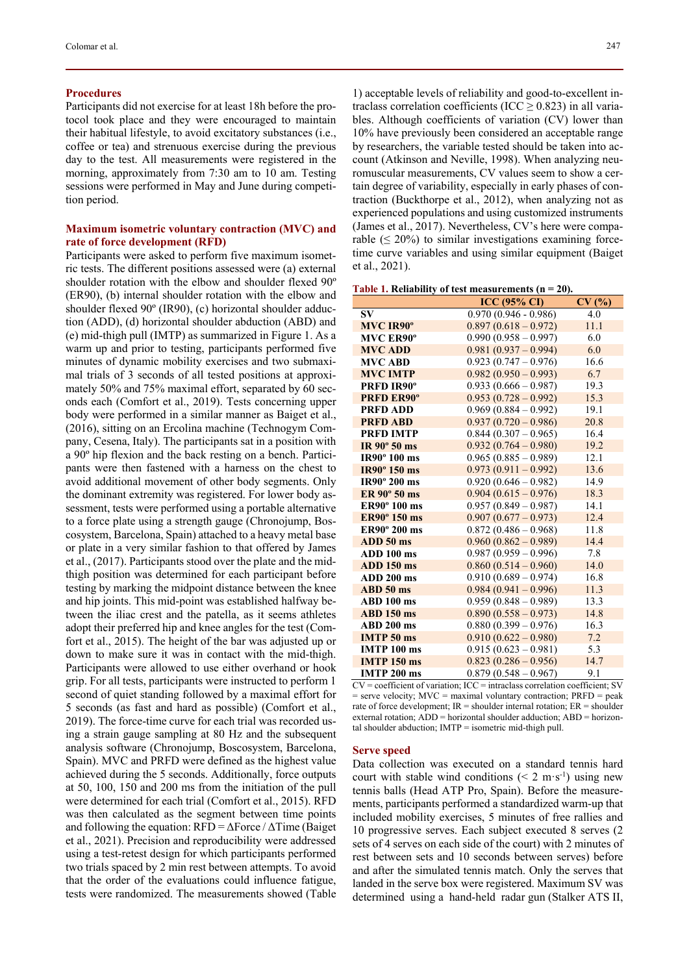### **Procedures**

Participants did not exercise for at least 18h before the protocol took place and they were encouraged to maintain their habitual lifestyle, to avoid excitatory substances (i.e., coffee or tea) and strenuous exercise during the previous day to the test. All measurements were registered in the morning, approximately from 7:30 am to 10 am. Testing sessions were performed in May and June during competition period.

# **Maximum isometric voluntary contraction (MVC) and rate of force development (RFD)**

Participants were asked to perform five maximum isometric tests. The different positions assessed were (a) external shoulder rotation with the elbow and shoulder flexed 90º (ER90), (b) internal shoulder rotation with the elbow and shoulder flexed 90º (IR90), (c) horizontal shoulder adduction (ADD), (d) horizontal shoulder abduction (ABD) and (e) mid-thigh pull (IMTP) as summarized in Figure 1. As a warm up and prior to testing, participants performed five minutes of dynamic mobility exercises and two submaximal trials of 3 seconds of all tested positions at approximately 50% and 75% maximal effort, separated by 60 seconds each (Comfort et al., 2019). Tests concerning upper body were performed in a similar manner as Baiget et al., (2016), sitting on an Ercolina machine (Technogym Company, Cesena, Italy). The participants sat in a position with a 90º hip flexion and the back resting on a bench. Participants were then fastened with a harness on the chest to avoid additional movement of other body segments. Only the dominant extremity was registered. For lower body assessment, tests were performed using a portable alternative to a force plate using a strength gauge (Chronojump, Boscosystem, Barcelona, Spain) attached to a heavy metal base or plate in a very similar fashion to that offered by James et al., (2017). Participants stood over the plate and the midthigh position was determined for each participant before testing by marking the midpoint distance between the knee and hip joints. This mid-point was established halfway between the iliac crest and the patella, as it seems athletes adopt their preferred hip and knee angles for the test (Comfort et al., 2015). The height of the bar was adjusted up or down to make sure it was in contact with the mid-thigh. Participants were allowed to use either overhand or hook grip. For all tests, participants were instructed to perform 1 second of quiet standing followed by a maximal effort for 5 seconds (as fast and hard as possible) (Comfort et al., 2019). The force-time curve for each trial was recorded using a strain gauge sampling at 80 Hz and the subsequent analysis software (Chronojump, Boscosystem, Barcelona, Spain). MVC and PRFD were defined as the highest value achieved during the 5 seconds. Additionally, force outputs at 50, 100, 150 and 200 ms from the initiation of the pull were determined for each trial (Comfort et al., 2015). RFD was then calculated as the segment between time points and following the equation:  $RFD = \Delta$ Force /  $\Delta$ Time (Baiget) et al., 2021). Precision and reproducibility were addressed using a test-retest design for which participants performed two trials spaced by 2 min rest between attempts. To avoid that the order of the evaluations could influence fatigue, tests were randomized. The measurements showed (Table

1) acceptable levels of reliability and good-to-excellent intraclass correlation coefficients (ICC  $\geq$  0.823) in all variables. Although coefficients of variation (CV) lower than 10% have previously been considered an acceptable range by researchers, the variable tested should be taken into account (Atkinson and Neville, 1998). When analyzing neuromuscular measurements, CV values seem to show a certain degree of variability, especially in early phases of contraction (Buckthorpe et al., 2012), when analyzing not as experienced populations and using customized instruments (James et al., 2017). Nevertheless, CV's here were comparable  $(\leq 20\%)$  to similar investigations examining forcetime curve variables and using similar equipment (Baiget et al., 2021).

**Table 1. Reliability of test measurements (n = 20).** 

|                     | <b>ICC</b> (95% CI)    | CV(%) |
|---------------------|------------------------|-------|
| <b>SV</b>           | $0.970(0.946 - 0.986)$ | 4.0   |
| <b>MVC IR90°</b>    | $0.897(0.618-0.972)$   | 11.1  |
| <b>MVC ER90°</b>    | $0.990(0.958 - 0.997)$ | 6.0   |
| <b>MVC ADD</b>      | $0.981(0.937 - 0.994)$ | 6.0   |
| <b>MVC ABD</b>      | $0.923(0.747-0.976)$   | 16.6  |
| <b>MVC IMTP</b>     | $0.982(0.950-0.993)$   | 6.7   |
| PRFD IR90°          | $0.933(0.666 - 0.987)$ | 19.3  |
| <b>PRFD ER90°</b>   | $0.953(0.728 - 0.992)$ | 15.3  |
| <b>PRFD ADD</b>     | $0.969(0.884 - 0.992)$ | 19.1  |
| <b>PRFD ABD</b>     | $0.937(0.720 - 0.986)$ | 20.8  |
| <b>PRFD IMTP</b>    | $0.844(0.307-0.965)$   | 16.4  |
| IR $90^\circ$ 50 ms | $0.932(0.764 - 0.980)$ | 19.2  |
| IR90° 100 ms        | $0.965(0.885 - 0.989)$ | 12.1  |
| <b>IR90° 150 ms</b> | $0.973(0.911-0.992)$   | 13.6  |
| IR90° 200 ms        | $0.920(0.646 - 0.982)$ | 14.9  |
| ER 90° 50 ms        | $0.904(0.615-0.976)$   | 18.3  |
| ER90° 100 ms        | $0.957(0.849 - 0.987)$ | 14.1  |
| ER90° 150 ms        | $0.907(0.677 - 0.973)$ | 12.4  |
| ER90° 200 ms        | $0.872(0.486 - 0.968)$ | 11.8  |
| ADD 50 ms           | $0.960(0.862 - 0.989)$ | 14.4  |
| ADD 100 ms          | $0.987(0.959 - 0.996)$ | 7.8   |
| <b>ADD 150 ms</b>   | $0.860(0.514 - 0.960)$ | 14.0  |
| <b>ADD 200 ms</b>   | $0.910(0.689 - 0.974)$ | 16.8  |
| $ABD50$ ms          | $0.984(0.941-0.996)$   | 11.3  |
| ABD 100 ms          | $0.959(0.848 - 0.989)$ | 13.3  |
| <b>ABD 150 ms</b>   | $0.890(0.558 - 0.973)$ | 14.8  |
| <b>ABD 200 ms</b>   | $0.880(0.399 - 0.976)$ | 16.3  |
| <b>IMTP 50 ms</b>   | $0.910(0.622 - 0.980)$ | 7.2   |
| <b>IMTP 100 ms</b>  | $0.915(0.623 - 0.981)$ | 5.3   |
| <b>IMTP 150 ms</b>  | $0.823(0.286-0.956)$   | 14.7  |
| <b>IMTP 200 ms</b>  | $0.879(0.548 - 0.967)$ | 9.1   |

 $CV = coefficient of variation$ ;  $ICC = intraclass correlation coefficient$ ;  $SV$  $=$  serve velocity; MVC  $=$  maximal voluntary contraction; PRFD  $=$  peak rate of force development;  $IR =$  shoulder internal rotation;  $ER =$  shoulder external rotation; ADD = horizontal shoulder adduction; ABD = horizontal shoulder abduction; IMTP = isometric mid-thigh pull.

#### **Serve speed**

Data collection was executed on a standard tennis hard court with stable wind conditions ( $\leq 2$  m $\cdot$ s<sup>-1</sup>) using new tennis balls (Head ATP Pro, Spain). Before the measurements, participants performed a standardized warm-up that included mobility exercises, 5 minutes of free rallies and 10 progressive serves. Each subject executed 8 serves (2 sets of 4 serves on each side of the court) with 2 minutes of rest between sets and 10 seconds between serves) before and after the simulated tennis match. Only the serves that landed in the serve box were registered. Maximum SV was determined using a hand-held radar gun (Stalker ATS II,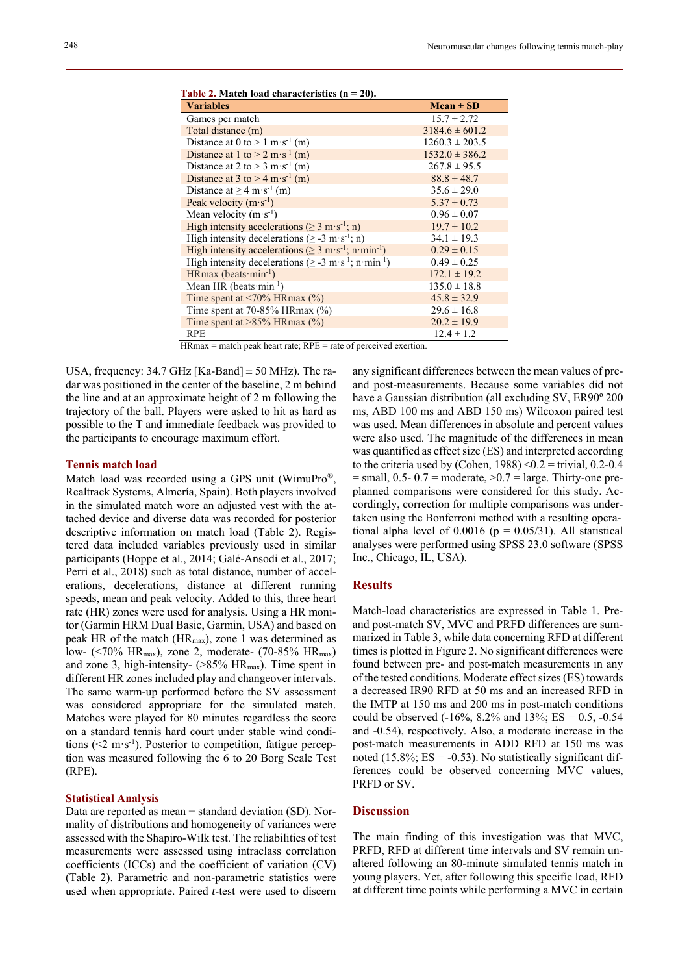| radio 2: Matem idad enaracterístics (n<br>$-0, 0$                                  |                    |
|------------------------------------------------------------------------------------|--------------------|
| <b>Variables</b>                                                                   | $Mean \pm SD$      |
| Games per match                                                                    | $15.7 \pm 2.72$    |
| Total distance (m)                                                                 | $3184.6 \pm 601.2$ |
| Distance at 0 to > 1 m·s <sup>-1</sup> (m)                                         | $1260.3 \pm 203.5$ |
| Distance at 1 to $> 2 \text{ m} \cdot \text{s}^{-1}$ (m)                           | $1532.0 \pm 386.2$ |
| Distance at 2 to > 3 m·s <sup>-1</sup> (m)                                         | $267.8 \pm 95.5$   |
| Distance at 3 to $>$ 4 m·s <sup>-1</sup> (m)                                       | $88.8 \pm 48.7$    |
| Distance at $\geq 4$ m·s <sup>-1</sup> (m)                                         | $35.6 \pm 29.0$    |
| Peak velocity $(m \cdot s^{-1})$                                                   | $5.37 \pm 0.73$    |
| Mean velocity $(m \cdot s^{-1})$                                                   | $0.96 \pm 0.07$    |
| High intensity accelerations ( $\geq 3$ m·s <sup>-1</sup> ; n)                     | $19.7 \pm 10.2$    |
| High intensity decelerations ( $\geq$ -3 m·s <sup>-1</sup> ; n)                    | $34.1 \pm 19.3$    |
| High intensity accelerations ( $\geq 3$ m·s <sup>-1</sup> ; n·min <sup>-1</sup> )  | $0.29 \pm 0.15$    |
| High intensity decelerations ( $\geq$ -3 m·s <sup>-1</sup> ; n·min <sup>-1</sup> ) | $0.49 \pm 0.25$    |
| HRmax (beats $\text{min}^{-1}$ )                                                   | $172.1 \pm 19.2$   |
| Mean HR (beats $\text{min}^{-1}$ )                                                 | $135.0 \pm 18.8$   |
| Time spent at $\langle 70\% \text{ HRmax } (\% )$                                  | $45.8 \pm 32.9$    |
| Time spent at $70-85%$ HRmax $(\%)$                                                | $29.6 \pm 16.8$    |
| Time spent at $>85\%$ HRmax (%)                                                    | $20.2 \pm 19.9$    |
| <b>RPE</b>                                                                         | $12.4 \pm 1.2$     |

**Table 2. Match load characteristics (n = 20).** 

HRmax = match peak heart rate; RPE = rate of perceived exertion.

USA, frequency:  $34.7 \text{ GHz}$  [Ka-Band]  $\pm 50 \text{ MHz}$ ). The radar was positioned in the center of the baseline, 2 m behind the line and at an approximate height of 2 m following the trajectory of the ball. Players were asked to hit as hard as possible to the T and immediate feedback was provided to the participants to encourage maximum effort.

### **Tennis match load**

Match load was recorded using a GPS unit (WimuPro®, Realtrack Systems, Almería, Spain). Both players involved in the simulated match wore an adjusted vest with the attached device and diverse data was recorded for posterior descriptive information on match load (Table 2). Registered data included variables previously used in similar participants (Hoppe et al., 2014; Galé-Ansodi et al., 2017; Perri et al., 2018) such as total distance, number of accelerations, decelerations, distance at different running speeds, mean and peak velocity. Added to this, three heart rate (HR) zones were used for analysis. Using a HR monitor (Garmin HRM Dual Basic, Garmin, USA) and based on peak HR of the match ( $HR_{max}$ ), zone 1 was determined as low- (<70% HRmax), zone 2, moderate- (70-85% HRmax) and zone 3, high-intensity-  $(>\!\!85\!\!% HR<sub>max</sub>)$ . Time spent in different HR zones included play and changeover intervals. The same warm-up performed before the SV assessment was considered appropriate for the simulated match. Matches were played for 80 minutes regardless the score on a standard tennis hard court under stable wind conditions  $(< 2 \text{ m} \cdot \text{s}^{-1})$ . Posterior to competition, fatigue perception was measured following the 6 to 20 Borg Scale Test (RPE).

### **Statistical Analysis**

Data are reported as mean  $\pm$  standard deviation (SD). Normality of distributions and homogeneity of variances were assessed with the Shapiro-Wilk test. The reliabilities of test measurements were assessed using intraclass correlation coefficients (ICCs) and the coefficient of variation (CV) (Table 2). Parametric and non-parametric statistics were used when appropriate. Paired *t*-test were used to discern any significant differences between the mean values of preand post-measurements. Because some variables did not have a Gaussian distribution (all excluding SV, ER90º 200 ms, ABD 100 ms and ABD 150 ms) Wilcoxon paired test was used. Mean differences in absolute and percent values were also used. The magnitude of the differences in mean was quantified as effect size (ES) and interpreted according to the criteria used by (Cohen,  $1988$ ) < 0.2 = trivial, 0.2-0.4  $=$  small, 0.5- 0.7 = moderate,  $>0.7$  = large. Thirty-one preplanned comparisons were considered for this study. Accordingly, correction for multiple comparisons was undertaken using the Bonferroni method with a resulting operational alpha level of  $0.0016$  ( $p = 0.05/31$ ). All statistical analyses were performed using SPSS 23.0 software (SPSS Inc., Chicago, IL, USA).

# **Results**

Match-load characteristics are expressed in Table 1. Preand post-match SV, MVC and PRFD differences are summarized in Table 3, while data concerning RFD at different times is plotted in Figure 2. No significant differences were found between pre- and post-match measurements in any of the tested conditions. Moderate effect sizes (ES) towards a decreased IR90 RFD at 50 ms and an increased RFD in the IMTP at 150 ms and 200 ms in post-match conditions could be observed  $(-16\%, 8.2\% \text{ and } 13\%;$  ES = 0.5, -0.54 and -0.54), respectively. Also, a moderate increase in the post-match measurements in ADD RFD at 150 ms was noted (15.8%;  $ES = -0.53$ ). No statistically significant differences could be observed concerning MVC values, PRFD or SV.

# **Discussion**

The main finding of this investigation was that MVC, PRFD, RFD at different time intervals and SV remain unaltered following an 80-minute simulated tennis match in young players. Yet, after following this specific load, RFD at different time points while performing a MVC in certain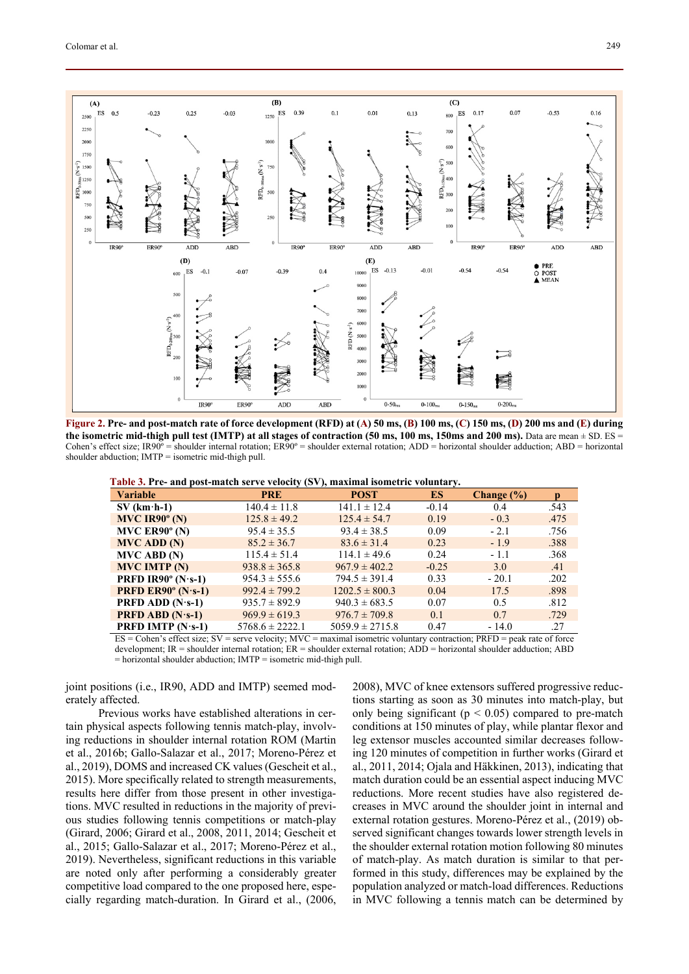

**Figure 2. Pre- and post-match rate of force development (RFD) at (A) 50 ms, (B) 100 ms, (C) 150 ms, (D) 200 ms and (E) during the isometric mid-thigh pull test (IMTP) at all stages of contraction (50 ms, 100 ms, 150ms and 200 ms).** Data are mean  $\pm$  SD. ES  $=$ Cohen's effect size; IR90º = shoulder internal rotation; ER90º = shoulder external rotation; ADD = horizontal shoulder adduction; ABD = horizontal shoulder abduction; IMTP = isometric mid-thigh pull.

| Table 3. Pre- and post-match serve velocity (SV), maximal isometric voluntary. |
|--------------------------------------------------------------------------------|
|--------------------------------------------------------------------------------|

| <b>Variable</b>                               | <b>PRE</b>          | <b>POST</b>         | <b>ES</b> | Change $(\% )$ | $\mathbf{D}$ |
|-----------------------------------------------|---------------------|---------------------|-----------|----------------|--------------|
| $SV$ (km $\cdot$ h-1)                         | $140.4 \pm 11.8$    | $141.1 \pm 12.4$    | $-0.14$   | 0.4            | .543         |
| $MVC$ IR90 $^{\circ}$ (N)                     | $125.8 \pm 49.2$    | $125.4 \pm 54.7$    | 0.19      | $-0.3$         | .475         |
| MVC $ER90^\circ$ (N)                          | $95.4 \pm 35.5$     | $93.4 \pm 38.5$     | 0.09      | $-2.1$         | .756         |
| <b>MVC ADD (N)</b>                            | $85.2 \pm 36.7$     | $83.6 \pm 31.4$     | 0.23      | $-1.9$         | .388         |
| $MVC$ ABD $(N)$                               | $115.4 \pm 51.4$    | $114.1 \pm 49.6$    | 0.24      | $-1.1$         | .368         |
| <b>MVC IMTP (N)</b>                           | $938.8 \pm 365.8$   | $967.9 \pm 402.2$   | $-0.25$   | 3.0            | .41          |
| <b>PRFD IR90° (N·s-1)</b>                     | $954.3 \pm 555.6$   | $794.5 \pm 391.4$   | 0.33      | $-20.1$        | .202         |
| <b>PRFD ER90<math>^{\circ}</math> (N·s-1)</b> | $992.4 \pm 799.2$   | $1202.5 \pm 800.3$  | 0.04      | 17.5           | .898         |
| <b>PRFD ADD</b> $(N \cdot s-1)$               | $935.7 \pm 892.9$   | $940.3 \pm 683.5$   | 0.07      | 0.5            | .812         |
| <b>PRFD ABD</b> $(N \cdot s-1)$               | $969.9 \pm 619.3$   | $976.7 \pm 709.8$   | 0.1       | 0.7            | .729         |
| <b>PRFD IMTP</b> $(N \cdot s-1)$              | $5768.6 \pm 2222.1$ | $5059.9 \pm 2715.8$ | 0.47      | $-14.0$        | .27          |

ES = Cohen's effect size; SV = serve velocity; MVC = maximal isometric voluntary contraction; PRFD = peak rate of force development; IR = shoulder internal rotation; ER = shoulder external rotation; ADD = horizontal shoulder adduction; ABD

 $=$  horizontal shoulder abduction;  $IMTP =$  isometric mid-thigh pull.

joint positions (i.e., IR90, ADD and IMTP) seemed moderately affected.

Previous works have established alterations in certain physical aspects following tennis match-play, involving reductions in shoulder internal rotation ROM (Martin et al., 2016b; Gallo-Salazar et al., 2017; Moreno-Pérez et al., 2019), DOMS and increased CK values (Gescheit et al., 2015). More specifically related to strength measurements, results here differ from those present in other investigations. MVC resulted in reductions in the majority of previous studies following tennis competitions or match-play (Girard, 2006; Girard et al., 2008, 2011, 2014; Gescheit et al., 2015; Gallo-Salazar et al., 2017; Moreno-Pérez et al., 2019). Nevertheless, significant reductions in this variable are noted only after performing a considerably greater competitive load compared to the one proposed here, especially regarding match-duration. In Girard et al., (2006, 2008), MVC of knee extensors suffered progressive reductions starting as soon as 30 minutes into match-play, but only being significant ( $p < 0.05$ ) compared to pre-match conditions at 150 minutes of play, while plantar flexor and leg extensor muscles accounted similar decreases following 120 minutes of competition in further works (Girard et al., 2011, 2014; Ojala and Häkkinen, 2013), indicating that match duration could be an essential aspect inducing MVC reductions. More recent studies have also registered decreases in MVC around the shoulder joint in internal and external rotation gestures. Moreno-Pérez et al., (2019) observed significant changes towards lower strength levels in the shoulder external rotation motion following 80 minutes of match-play. As match duration is similar to that performed in this study, differences may be explained by the population analyzed or match-load differences. Reductions in MVC following a tennis match can be determined by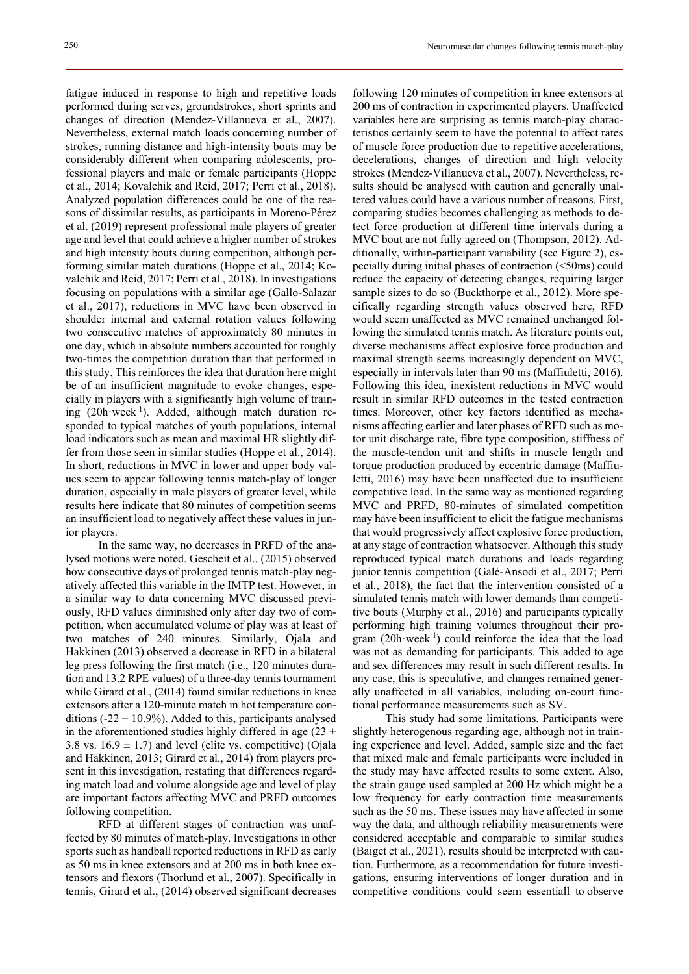fatigue induced in response to high and repetitive loads performed during serves, groundstrokes, short sprints and changes of direction (Mendez-Villanueva et al., 2007). Nevertheless, external match loads concerning number of strokes, running distance and high-intensity bouts may be considerably different when comparing adolescents, professional players and male or female participants (Hoppe et al., 2014; Kovalchik and Reid, 2017; Perri et al., 2018). Analyzed population differences could be one of the reasons of dissimilar results, as participants in Moreno-Pérez et al. (2019) represent professional male players of greater age and level that could achieve a higher number of strokes and high intensity bouts during competition, although performing similar match durations (Hoppe et al., 2014; Kovalchik and Reid, 2017; Perri et al., 2018). In investigations focusing on populations with a similar age (Gallo-Salazar et al., 2017), reductions in MVC have been observed in shoulder internal and external rotation values following two consecutive matches of approximately 80 minutes in one day, which in absolute numbers accounted for roughly two-times the competition duration than that performed in this study. This reinforces the idea that duration here might be of an insufficient magnitude to evoke changes, especially in players with a significantly high volume of training  $(20h \cdot week^{-1})$ . Added, although match duration responded to typical matches of youth populations, internal load indicators such as mean and maximal HR slightly differ from those seen in similar studies (Hoppe et al., 2014). In short, reductions in MVC in lower and upper body values seem to appear following tennis match-play of longer duration, especially in male players of greater level, while results here indicate that 80 minutes of competition seems an insufficient load to negatively affect these values in junior players.

In the same way, no decreases in PRFD of the analysed motions were noted. Gescheit et al., (2015) observed how consecutive days of prolonged tennis match-play negatively affected this variable in the IMTP test. However, in a similar way to data concerning MVC discussed previously, RFD values diminished only after day two of competition, when accumulated volume of play was at least of two matches of 240 minutes. Similarly, Ojala and Hakkinen (2013) observed a decrease in RFD in a bilateral leg press following the first match (i.e., 120 minutes duration and 13.2 RPE values) of a three-day tennis tournament while Girard et al., (2014) found similar reductions in knee extensors after a 120-minute match in hot temperature conditions ( $-22 \pm 10.9\%$ ). Added to this, participants analysed in the aforementioned studies highly differed in age (23  $\pm$ 3.8 vs.  $16.9 \pm 1.7$ ) and level (elite vs. competitive) (Ojala and Häkkinen, 2013; Girard et al., 2014) from players present in this investigation, restating that differences regarding match load and volume alongside age and level of play are important factors affecting MVC and PRFD outcomes following competition.

RFD at different stages of contraction was unaffected by 80 minutes of match-play. Investigations in other sports such as handball reported reductions in RFD as early as 50 ms in knee extensors and at 200 ms in both knee extensors and flexors (Thorlund et al., 2007). Specifically in tennis, Girard et al., (2014) observed significant decreases

following 120 minutes of competition in knee extensors at 200 ms of contraction in experimented players. Unaffected variables here are surprising as tennis match-play characteristics certainly seem to have the potential to affect rates of muscle force production due to repetitive accelerations, decelerations, changes of direction and high velocity strokes (Mendez-Villanueva et al., 2007). Nevertheless, results should be analysed with caution and generally unaltered values could have a various number of reasons. First, comparing studies becomes challenging as methods to detect force production at different time intervals during a MVC bout are not fully agreed on (Thompson, 2012). Additionally, within-participant variability (see Figure 2), especially during initial phases of contraction (<50ms) could reduce the capacity of detecting changes, requiring larger sample sizes to do so (Buckthorpe et al., 2012). More specifically regarding strength values observed here, RFD would seem unaffected as MVC remained unchanged following the simulated tennis match. As literature points out, diverse mechanisms affect explosive force production and maximal strength seems increasingly dependent on MVC, especially in intervals later than 90 ms (Maffiuletti, 2016). Following this idea, inexistent reductions in MVC would result in similar RFD outcomes in the tested contraction times. Moreover, other key factors identified as mechanisms affecting earlier and later phases of RFD such as motor unit discharge rate, fibre type composition, stiffness of the muscle-tendon unit and shifts in muscle length and torque production produced by eccentric damage (Maffiuletti, 2016) may have been unaffected due to insufficient competitive load. In the same way as mentioned regarding MVC and PRFD, 80-minutes of simulated competition may have been insufficient to elicit the fatigue mechanisms that would progressively affect explosive force production, at any stage of contraction whatsoever. Although this study reproduced typical match durations and loads regarding junior tennis competition (Galé-Ansodi et al., 2017; Perri et al., 2018), the fact that the intervention consisted of a simulated tennis match with lower demands than competitive bouts (Murphy et al., 2016) and participants typically performing high training volumes throughout their program  $(20h\text{·week}^{-1})$  could reinforce the idea that the load was not as demanding for participants. This added to age and sex differences may result in such different results. In any case, this is speculative, and changes remained generally unaffected in all variables, including on-court functional performance measurements such as SV.

This study had some limitations. Participants were slightly heterogenous regarding age, although not in training experience and level. Added, sample size and the fact that mixed male and female participants were included in the study may have affected results to some extent. Also, the strain gauge used sampled at 200 Hz which might be a low frequency for early contraction time measurements such as the 50 ms. These issues may have affected in some way the data, and although reliability measurements were considered acceptable and comparable to similar studies (Baiget et al., 2021), results should be interpreted with caution. Furthermore, as a recommendation for future investigations, ensuring interventions of longer duration and in competitive conditions could seem essentiall to observe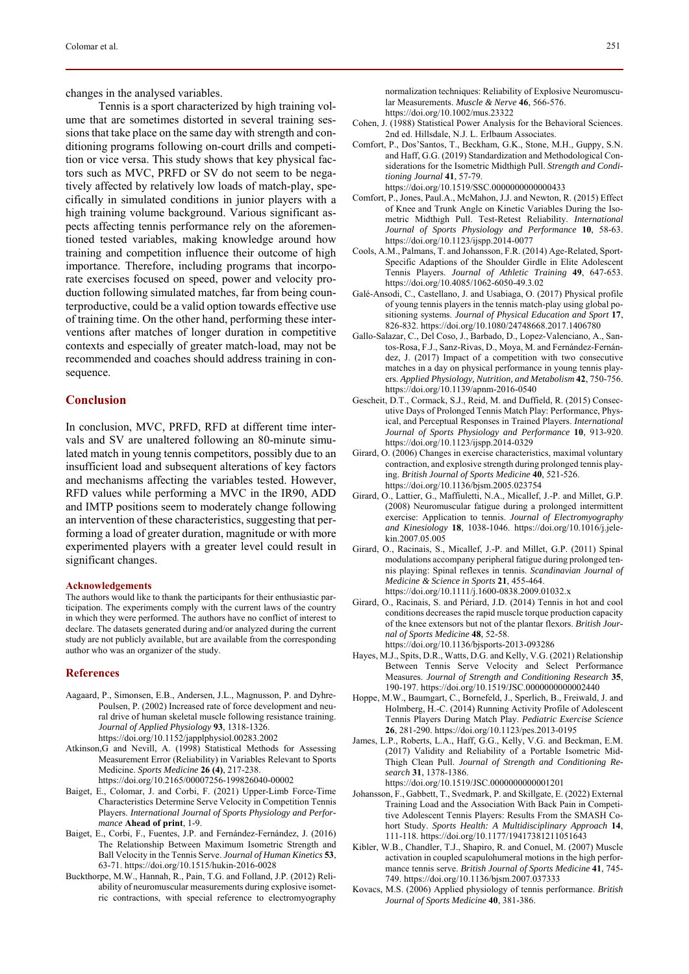changes in the analysed variables.

Tennis is a sport characterized by high training volume that are sometimes distorted in several training sessions that take place on the same day with strength and conditioning programs following on-court drills and competition or vice versa. This study shows that key physical factors such as MVC, PRFD or SV do not seem to be negatively affected by relatively low loads of match-play, specifically in simulated conditions in junior players with a high training volume background. Various significant aspects affecting tennis performance rely on the aforementioned tested variables, making knowledge around how training and competition influence their outcome of high importance. Therefore, including programs that incorporate exercises focused on speed, power and velocity production following simulated matches, far from being counterproductive, could be a valid option towards effective use of training time. On the other hand, performing these interventions after matches of longer duration in competitive contexts and especially of greater match-load, may not be recommended and coaches should address training in consequence.

# **Conclusion**

In conclusion, MVC, PRFD, RFD at different time intervals and SV are unaltered following an 80-minute simulated match in young tennis competitors, possibly due to an insufficient load and subsequent alterations of key factors and mechanisms affecting the variables tested. However, RFD values while performing a MVC in the IR90, ADD and IMTP positions seem to moderately change following an intervention of these characteristics, suggesting that performing a load of greater duration, magnitude or with more experimented players with a greater level could result in significant changes.

### **Acknowledgements**

The authors would like to thank the participants for their enthusiastic participation. The experiments comply with the current laws of the country in which they were performed. The authors have no conflict of interest to declare. The datasets generated during and/or analyzed during the current study are not publicly available, but are available from the corresponding author who was an organizer of the study.

### **References**

- Aagaard, P., Simonsen, E.B., Andersen, J.L., Magnusson, P. and Dyhre-Poulsen, P. (2002) Increased rate of force development and neural drive of human skeletal muscle following resistance training. *Journal of Applied Physiology* **93**, 1318-1326. https://doi.org/10.1152/japplphysiol.00283.2002
- Atkinson,G and Nevill, A. (1998) Statistical Methods for Assessing Measurement Error (Reliability) in Variables Relevant to Sports Medicine. *Sports Medicine* **26 (4)**, 217-238. https://doi.org/10.2165/00007256-199826040-00002
- Baiget, E., Colomar, J. and Corbi, F. (2021) Upper-Limb Force-Time Characteristics Determine Serve Velocity in Competition Tennis Players. *International Journal of Sports Physiology and Performance* **Ahead of print**, 1-9.
- Baiget, E., Corbi, F., Fuentes, J.P. and Fernández-Fernández, J. (2016) The Relationship Between Maximum Isometric Strength and Ball Velocity in the Tennis Serve. *Journal of Human Kinetics* **53**, 63-71. https://doi.org/10.1515/hukin-2016-0028
- Buckthorpe, M.W., Hannah, R., Pain, T.G. and Folland, J.P. (2012) Reliability of neuromuscular measurements during explosive isometric contractions, with special reference to electromyography

normalization techniques: Reliability of Explosive Neuromuscular Measurements. *Muscle & Nerve* **46**, 566-576. https://doi.org/10.1002/mus.23322

- Cohen, J. (1988) Statistical Power Analysis for the Behavioral Sciences. 2nd ed. Hillsdale, N.J. L. Erlbaum Associates.
- Comfort, P., Dos'Santos, T., Beckham, G.K., Stone, M.H., Guppy, S.N. and Haff, G.G. (2019) Standardization and Methodological Considerations for the Isometric Midthigh Pull. *Strength and Conditioning Journal* **41**, 57-79. https://doi.org/10.1519/SSC.0000000000000433
- Comfort, P., Jones, Paul.A., McMahon, J.J. and Newton, R. (2015) Effect of Knee and Trunk Angle on Kinetic Variables During the Isometric Midthigh Pull. Test-Retest Reliability. *International Journal of Sports Physiology and Performance* **10**, 58-63. https://doi.org/10.1123/ijspp.2014-0077
- Cools, A.M., Palmans, T. and Johansson, F.R. (2014) Age-Related, Sport-Specific Adaptions of the Shoulder Girdle in Elite Adolescent Tennis Players. *Journal of Athletic Training* **49**, 647-653. https://doi.org/10.4085/1062-6050-49.3.02
- Galé-Ansodi, C., Castellano, J. and Usabiaga, O. (2017) Physical profile of young tennis players in the tennis match-play using global positioning systems. *Journal of Physical Education and Sport* **17**, 826-832. https://doi.org/10.1080/24748668.2017.1406780
- Gallo-Salazar, C., Del Coso, J., Barbado, D., Lopez-Valenciano, A., Santos-Rosa, F.J., Sanz-Rivas, D., Moya, M. and Fernández-Fernández, J. (2017) Impact of a competition with two consecutive matches in a day on physical performance in young tennis players. *Applied Physiology, Nutrition, and Metabolism* **42**, 750-756. https://doi.org/10.1139/apnm-2016-0540
- Gescheit, D.T., Cormack, S.J., Reid, M. and Duffield, R. (2015) Consecutive Days of Prolonged Tennis Match Play: Performance, Physical, and Perceptual Responses in Trained Players. *International Journal of Sports Physiology and Performance* **10**, 913-920. https://doi.org/10.1123/ijspp.2014-0329
- Girard, O. (2006) Changes in exercise characteristics, maximal voluntary contraction, and explosive strength during prolonged tennis playing. *British Journal of Sports Medicine* **40**, 521-526. https://doi.org/10.1136/bjsm.2005.023754
- Girard, O., Lattier, G., Maffiuletti, N.A., Micallef, J.-P. and Millet, G.P. (2008) Neuromuscular fatigue during a prolonged intermittent exercise: Application to tennis. *Journal of Electromyography and Kinesiology* **18**, 1038-1046. https://doi.org/10.1016/j.jelekin.2007.05.005
- Girard, O., Racinais, S., Micallef, J.-P. and Millet, G.P. (2011) Spinal modulations accompany peripheral fatigue during prolonged tennis playing: Spinal reflexes in tennis. *Scandinavian Journal of Medicine & Science in Sports* **21**, 455-464. https://doi.org/10.1111/j.1600-0838.2009.01032.x
- Girard, O., Racinais, S. and Périard, J.D. (2014) Tennis in hot and cool conditions decreases the rapid muscle torque production capacity of the knee extensors but not of the plantar flexors. *British Journal of Sports Medicine* **48**, 52-58. https://doi.org/10.1136/bjsports-2013-093286
- Hayes, M.J., Spits, D.R., Watts, D.G. and Kelly, V.G. (2021) Relationship Between Tennis Serve Velocity and Select Performance Measures. *Journal of Strength and Conditioning Research* **35**, 190-197. https://doi.org/10.1519/JSC.0000000000002440
- Hoppe, M.W., Baumgart, C., Bornefeld, J., Sperlich, B., Freiwald, J. and Holmberg, H.-C. (2014) Running Activity Profile of Adolescent Tennis Players During Match Play. *Pediatric Exercise Science* **26**, 281-290. https://doi.org/10.1123/pes.2013-0195
- James, L.P., Roberts, L.A., Haff, G.G., Kelly, V.G. and Beckman, E.M. (2017) Validity and Reliability of a Portable Isometric Mid-Thigh Clean Pull. *Journal of Strength and Conditioning Research* **31**, 1378-1386. https://doi.org/10.1519/JSC.0000000000001201
- Johansson, F., Gabbett, T., Svedmark, P. and Skillgate, E. (2022) External Training Load and the Association With Back Pain in Competitive Adolescent Tennis Players: Results From the SMASH Cohort Study. *Sports Health: A Multidisciplinary Approach* **14**, 111-118. https://doi.org/10.1177/19417381211051643
- Kibler, W.B., Chandler, T.J., Shapiro, R. and Conuel, M. (2007) Muscle activation in coupled scapulohumeral motions in the high performance tennis serve. *British Journal of Sports Medicine* **41**, 745- 749. https://doi.org/10.1136/bjsm.2007.037333
- Kovacs, M.S. (2006) Applied physiology of tennis performance. *British Journal of Sports Medicine* **40**, 381-386.